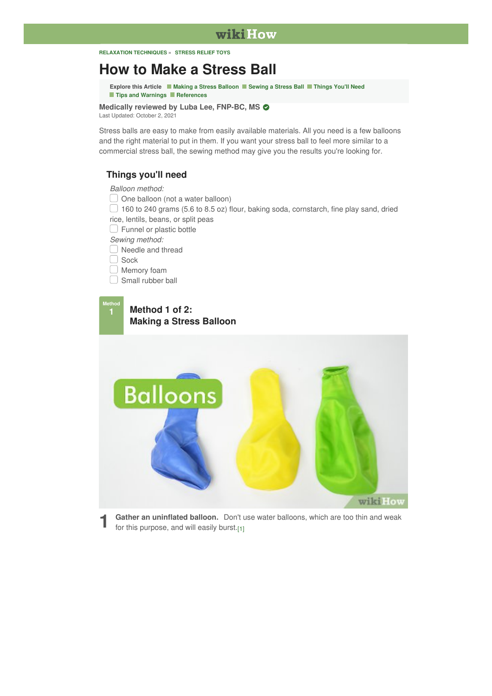#### **RELAXATION [TECHNIQUES](https://www.wikihow.com/Category:Relaxation-Techniques) » [STRESS](https://www.wikihow.com/Category:Stress-Relief-Toys) RELIEF TOYS**

# **How to Make a [Stress](https://www.wikihow.com/Make-a-Stress-Ball) Ball**

<span id="page-0-2"></span>**Explore this Article Making a Stress [Balloon](#page-0-0) [Sewing](#page-4-0) a Stress Ball [Things](#page-0-1) You'll Need** ■ **Tips and [Warnings](#page-5-0)** ■ **[References](#page-6-0)** 

**Medically reviewed by Luba Lee, FNP-BC, MS** Last [Updated:](#page-0-2) October 2, 2021

Stress balls are easy to make from easily available materials. All you need is a few balloons and the right material to put in them. If you want your stress ball to feel more similar to a commercial stress ball, the sewing method may give you the results you're looking for.

### **Things you'll need**

<span id="page-0-1"></span>*Balloon method:*

 $\Box$  One balloon (not a water balloon)

 $\Box$  160 to 240 grams (5.6 to 8.5 oz) flour, baking soda, cornstarch, fine play sand, dried rice, lentils, beans, or split peas

 $\Box$  Funnel or plastic bottle

*Sewing method:*

□ Needle and thread

Sock

**O** Memory foam

 $\Box$  Small rubber ball

#### <span id="page-0-0"></span>**Method 1 of 2: Making a Stress Balloon Method 1**



<span id="page-0-3"></span>**1** Gather an uninflated balloon. Don't use for this purpose, and will easily burst.[\[1\]](#page-6-1) **Gather an uninflated balloon.** Don't use water balloons, which are too thin and weak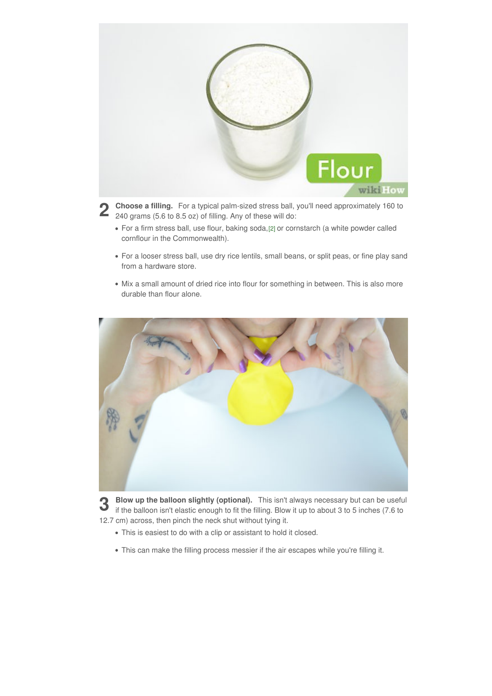

**2** Choose a filling. For a typical palm-sized stress ball, you'll need approximately 160 to 240 grams (5.6 to 8.5 oz) of filling. Any of these will do: 240 grams (5.6 to 8.5 oz) of filling. Any of these will do:

- <span id="page-1-0"></span>For a firm stress ball, use flour, baking soda,[\[2\]](#page-6-2) or cornstarch (a white powder called cornflour in the Commonwealth).
- For a looser stress ball, use dry rice lentils, small beans, or split peas, or fine play sand from a hardware store.
- Mix a small amount of dried rice into flour for something in between. This is also more durable than flour alone.



**3** Blow up the balloon slightly (optional). This isn't always necessary but can be useful if the balloon isn't elastic enough to fit the filling. Blow it up to about 3 to 5 inches (7.6 to **Blow up the balloon slightly (optional).** This isn't always necessary but can be useful 12.7 cm) across, then pinch the neck shut without tying it.

- This is easiest to do with a clip or assistant to hold it closed.
- This can make the filling process messier if the air escapes while you're filling it.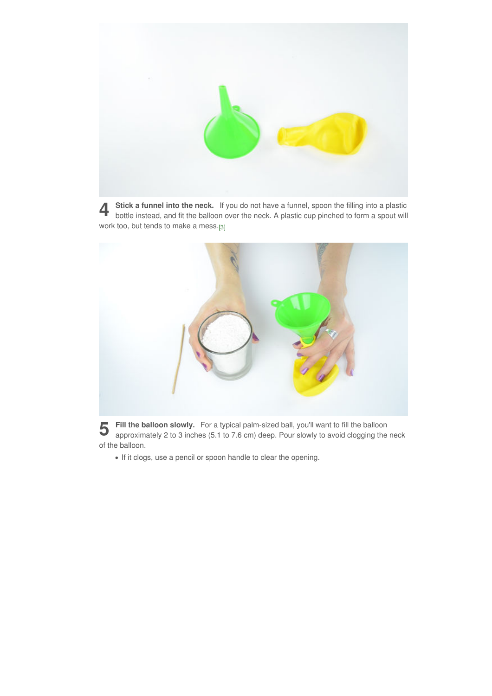

<span id="page-2-0"></span>**4** Stick a funnel into the neck. If you do not have a funnel, spoon the filling into a plastic bottle instead, and fit the balloon over the neck. A plastic cup pinched to form a spout will **Stick a funnel into the neck.** If you do not have a funnel, spoon the filling into a plastic work too, but tends to make a mess.[\[3\]](#page-6-3)



**5** Fill the balloon slowly. For a typical palm-sized ball, you'll want to fill the balloon approximately 2 to 3 inches (5.1 to 7.6 cm) deep. Pour slowly to avoid clogging the neck **Fill the balloon slowly.** For a typical palm-sized ball, you'll want to fill the balloon of the balloon.

If it clogs, use a pencil or spoon handle to clear the opening.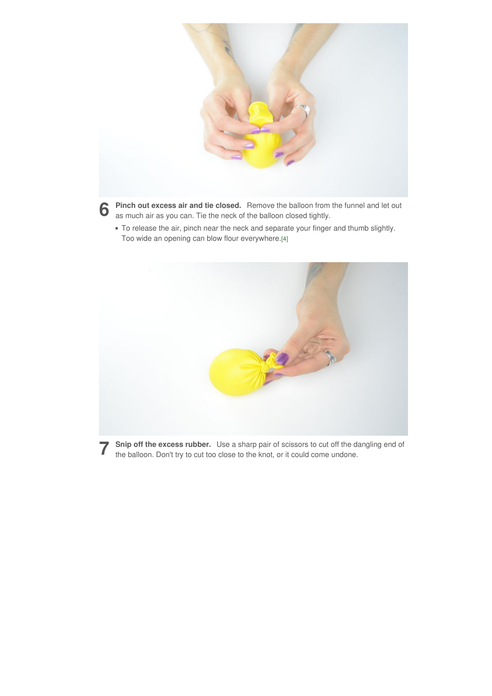

**6** Pinch out excess air and tie closed. Remove the balloon from the funnel and let out as much air as you can. Tie the neck of the balloon closed tightly. as much air as you can. Tie the neck of the balloon closed tightly.

<span id="page-3-0"></span>To release the air, pinch near the neck and separate your finger and thumb slightly. Too wide an opening can blow flour everywhere.[\[4\]](#page-6-4)



**7** Snip off the excess rubber. Use a sharp pair of scissors to cut off the d<br>the balloon. Don't try to cut too close to the knot, or it could come undone. **Snip off the excess rubber.** Use a sharp pair of scissors to cut off the dangling end of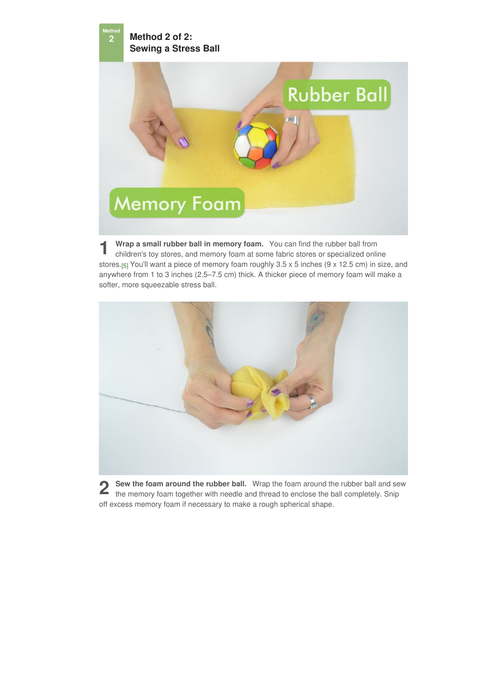<span id="page-4-0"></span>**Method 2 of 2: Sewing a Stress Ball Method**

**2**



<span id="page-4-1"></span>**1 1 Wrap a small rubber ball in memory foam.** You can find the rubber ball from children's toy stores, and memory foam at some fabric stores or specialized online **Wrap a small rubber ball in memory foam.** You can find the rubber ball from stores.<sub>[\[5\]](#page-6-5)</sub> You'll want a piece of memory foam roughly 3.5 x 5 inches (9 x 12.5 cm) in size, and anywhere from 1to 3 inches (2.5–7.5 cm) thick. A thicker piece of memory foam will make a softer, more squeezable stress ball.



**2** Sew the foam around the rubber ball. Wrap the foam around the rubber ball and sew the memory foam together with needle and thread to enclose the ball completely. Snip the memory foam together with needle and thread to enclose the ball completely. Snip off excess memory foam if necessary to make a rough spherical shape.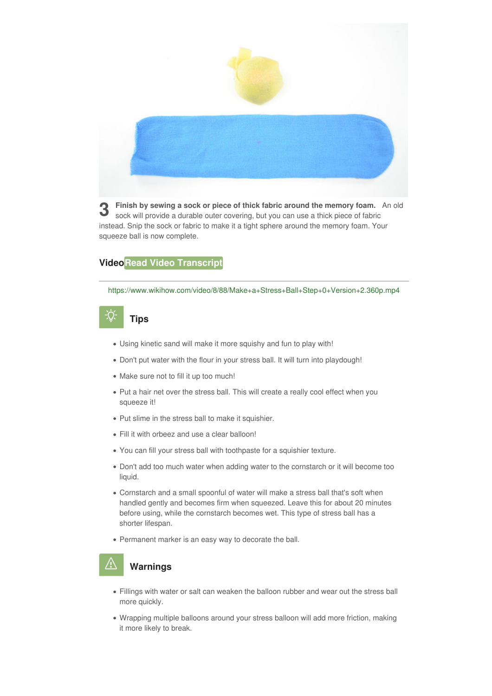

**3** Finish by sewing a sock or piece of thick fabric around the memory foam. An sock will provide a durable outer covering, but you can use a thick piece of fabric **Finish by sewing a sock or piece of thick fabric around the memory foam.** An old instead. Snip the sock or fabric to make it a tight sphere around the memory foam. Your squeeze ball is now complete.

# **VideoRead Video [Transcript](#page-0-2)**

<https://www.wikihow.com/video/8/88/Make+a+Stress+Ball+Step+0+Version+2.360p.mp4>

# **Tips**

- <span id="page-5-0"></span>Using kinetic sand will make it more squishy and fun to play with!
- Don't put water with the flour in your stress ball. It will turn into playdough!
- Make sure not to fill it up too much!
- Put a hair net over the stress ball. This will create a really cool effect when you squeeze it!
- Put slime in the stress ball to make it squishier.
- Fill it with orbeez and use a clear balloon!
- You can fill your stress ball with toothpaste for a squishier texture.
- Don't add too much water when adding water to the cornstarch or it will become too liquid.
- Cornstarch and a small spoonful of water will make a stress ball that's soft when handled gently and becomes firm when squeezed. Leave this for about 20 minutes before using, while the cornstarch becomes wet. This type of stress ball has a shorter lifespan.
- Permanent marker is an easy way to decorate the ball.

# **Warnings**

- Fillings with water or salt can weaken the balloon rubber and wear out the stress ball more quickly.
- Wrapping multiple balloons around your stress balloon will add more friction, making it more likely to break.